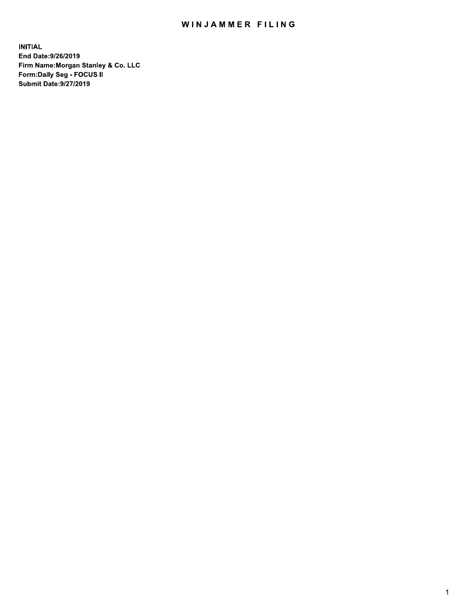## WINJAMMER FILING

**INITIAL** End Date: 9/26/2019 Firm Name: Morgan Stanley & Co. LLC Form: Daily Seg - FOCUS II **Submit Date: 9/27/2019**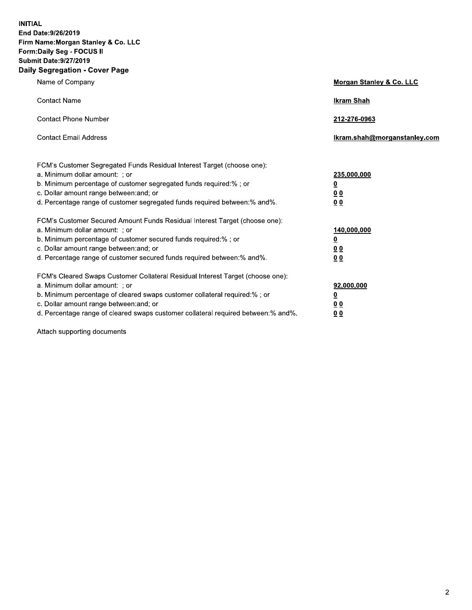| <b>IITIAL</b><br>nd Date:9/26/2019<br>irm Name:Morgan Stanley & Co. LLC<br>orm:Daily Seg - FOCUS II<br>ubmit Date:9/27/2019<br>aily Segregation - Cover Page                                                                                                                                                                   |                                                                            |
|--------------------------------------------------------------------------------------------------------------------------------------------------------------------------------------------------------------------------------------------------------------------------------------------------------------------------------|----------------------------------------------------------------------------|
| Name of Company                                                                                                                                                                                                                                                                                                                | Morgan Stanley & Co. LLC                                                   |
| <b>Contact Name</b>                                                                                                                                                                                                                                                                                                            | <b>Ikram Shah</b>                                                          |
| <b>Contact Phone Number</b>                                                                                                                                                                                                                                                                                                    | 212-276-0963                                                               |
| <b>Contact Email Address</b>                                                                                                                                                                                                                                                                                                   | Ikram.shah@morganstanley.com                                               |
| FCM's Customer Segregated Funds Residual Interest Target (choose one):<br>a. Minimum dollar amount: ; or<br>b. Minimum percentage of customer segregated funds required:% ; or<br>c. Dollar amount range between: and; or<br>d. Percentage range of customer segregated funds required between:% and%.                         | 235,000,000<br>0<br>0 <sub>0</sub><br>0 <sub>0</sub>                       |
| FCM's Customer Secured Amount Funds Residual Interest Target (choose one):<br>a. Minimum dollar amount: ; or<br>b. Minimum percentage of customer secured funds required:% ; or<br>c. Dollar amount range between: and; or<br>d. Percentage range of customer secured funds required between:% and%.                           | 140,000,000<br>$\overline{\mathbf{0}}$<br>0 <sub>0</sub><br>0 <sub>0</sub> |
| FCM's Cleared Swaps Customer Collateral Residual Interest Target (choose one):<br>a. Minimum dollar amount: ; or<br>b. Minimum percentage of cleared swaps customer collateral required:% ; or<br>c. Dollar amount range between: and; or<br>d. Percentage range of cleared swaps customer collateral required between:% and%. | 92,000,000<br>$\overline{\mathbf{0}}$<br>0 <sub>0</sub><br>0 <sub>0</sub>  |

Attach supporting documents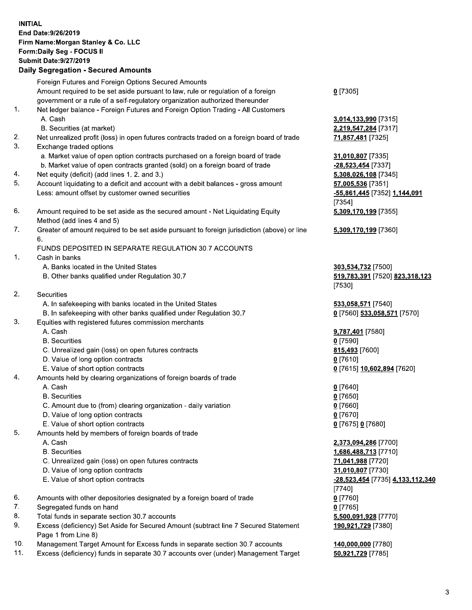|     | <b>INITIAL</b><br>End Date: 9/26/2019<br>Firm Name: Morgan Stanley & Co. LLC<br>Form: Daily Seg - FOCUS II<br><b>Submit Date: 9/27/2019</b><br><b>Daily Segregation - Secured Amounts</b> |                                                |
|-----|-------------------------------------------------------------------------------------------------------------------------------------------------------------------------------------------|------------------------------------------------|
|     | Foreign Futures and Foreign Options Secured Amounts                                                                                                                                       |                                                |
|     | Amount required to be set aside pursuant to law, rule or regulation of a foreign                                                                                                          | $0$ [7305]                                     |
| 1.  | government or a rule of a self-regulatory organization authorized thereunder<br>Net ledger balance - Foreign Futures and Foreign Option Trading - All Customers                           |                                                |
|     | A. Cash                                                                                                                                                                                   | 3,014,133,990 [7315]                           |
|     | B. Securities (at market)                                                                                                                                                                 | 2,219,547,284 [7317]                           |
| 2.  | Net unrealized profit (loss) in open futures contracts traded on a foreign board of trade                                                                                                 | 71,857,481 [7325]                              |
| 3.  | Exchange traded options                                                                                                                                                                   |                                                |
|     | a. Market value of open option contracts purchased on a foreign board of trade                                                                                                            | 31,010,807 [7335]                              |
| 4.  | b. Market value of open contracts granted (sold) on a foreign board of trade<br>Net equity (deficit) (add lines 1. 2. and 3.)                                                             | -28,523,454 [7337]<br>5,308,026,108 [7345]     |
| 5.  | Account liquidating to a deficit and account with a debit balances - gross amount                                                                                                         | 57,005,536 [7351]                              |
|     | Less: amount offset by customer owned securities                                                                                                                                          | <u>-55,861,445</u> [7352] 1,144,091            |
|     |                                                                                                                                                                                           | [7354]                                         |
| 6.  | Amount required to be set aside as the secured amount - Net Liquidating Equity                                                                                                            | 5,309,170,199 [7355]                           |
|     | Method (add lines 4 and 5)                                                                                                                                                                |                                                |
| 7.  | Greater of amount required to be set aside pursuant to foreign jurisdiction (above) or line<br>6.                                                                                         | 5,309,170,199 [7360]                           |
|     | FUNDS DEPOSITED IN SEPARATE REGULATION 30.7 ACCOUNTS                                                                                                                                      |                                                |
| 1.  | Cash in banks                                                                                                                                                                             |                                                |
|     | A. Banks located in the United States                                                                                                                                                     | 303,534,732 [7500]                             |
|     | B. Other banks qualified under Regulation 30.7                                                                                                                                            | 519,783,391 [7520] 823,318,123                 |
| 2.  | <b>Securities</b>                                                                                                                                                                         | [7530]                                         |
|     | A. In safekeeping with banks located in the United States                                                                                                                                 | 533,058,571 [7540]                             |
|     | B. In safekeeping with other banks qualified under Regulation 30.7                                                                                                                        | 0 [7560] 533,058,571 [7570]                    |
| 3.  | Equities with registered futures commission merchants                                                                                                                                     |                                                |
|     | A. Cash                                                                                                                                                                                   | 9,787,401 [7580]                               |
|     | <b>B.</b> Securities                                                                                                                                                                      | $0$ [7590]                                     |
|     | C. Unrealized gain (loss) on open futures contracts                                                                                                                                       | 815,493 [7600]                                 |
|     | D. Value of long option contracts<br>E. Value of short option contracts                                                                                                                   | $0$ [7610]<br>0 [7615] 10,602,894 [7620]       |
| 4.  | Amounts held by clearing organizations of foreign boards of trade                                                                                                                         |                                                |
|     | A. Cash                                                                                                                                                                                   | $0$ [7640]                                     |
|     | <b>B.</b> Securities                                                                                                                                                                      | $0$ [7650]                                     |
|     | C. Amount due to (from) clearing organization - daily variation                                                                                                                           | $0$ [7660]                                     |
|     | D. Value of long option contracts                                                                                                                                                         | $0$ [7670]                                     |
| 5.  | E. Value of short option contracts<br>Amounts held by members of foreign boards of trade                                                                                                  | 0 [7675] 0 [7680]                              |
|     | A. Cash                                                                                                                                                                                   | 2,373,094,286 [7700]                           |
|     | <b>B.</b> Securities                                                                                                                                                                      | 1,686,488,713 [7710]                           |
|     | C. Unrealized gain (loss) on open futures contracts                                                                                                                                       | 71,041,988 [7720]                              |
|     | D. Value of long option contracts                                                                                                                                                         | 31,010,807 [7730]                              |
|     | E. Value of short option contracts                                                                                                                                                        | <u>-28,523,454</u> [7735] <u>4,133,112,340</u> |
| 6.  | Amounts with other depositories designated by a foreign board of trade                                                                                                                    | [7740]<br>$0$ [7760]                           |
| 7.  | Segregated funds on hand                                                                                                                                                                  | $0$ [7765]                                     |
| 8.  | Total funds in separate section 30.7 accounts                                                                                                                                             | 5,500,091,928 [7770]                           |
| 9.  | Excess (deficiency) Set Aside for Secured Amount (subtract line 7 Secured Statement                                                                                                       | 190,921,729 [7380]                             |
|     | Page 1 from Line 8)                                                                                                                                                                       |                                                |
| 10. | Management Target Amount for Excess funds in separate section 30.7 accounts                                                                                                               | 140,000,000 [7780]                             |

 $11.$ Excess (deficiency) funds in separate 30.7 accounts over (under) Management Target

50,921,729 [7785]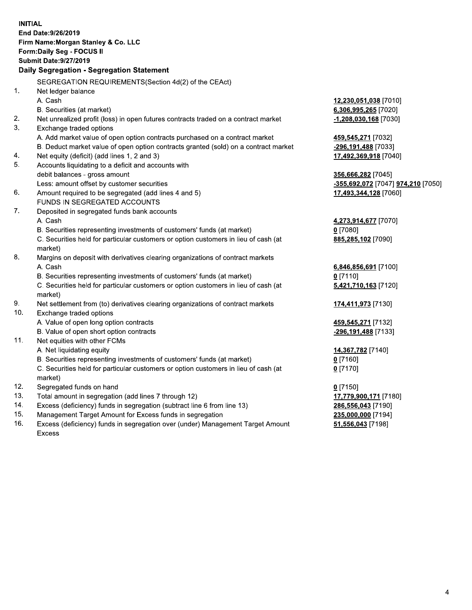**INITIAL** End Date: 9/26/2019 Firm Name: Morgan Stanley & Co. LLC Form: Daily Seg - FOCUS II **Submit Date: 9/27/2019** Daily Segregation - Segregation Statement SEGREGATION REQUIREMENTS(Section 4d(2) of the CEAct)  $1<sub>1</sub>$ Net ledger balance A. Cash 12,230,051,038 [7010] B. Securities (at market) 6,306,995,265 [7020]  $2.$ Net unrealized profit (loss) in open futures contracts traded on a contract market  $-1,208,030,168$  [7030]  $3_{-}$ Exchange traded options A. Add market value of open option contracts purchased on a contract market 459,545,271 [7032] -296,191,488 [7033] B. Deduct market value of open option contracts granted (sold) on a contract market  $4.$ Net equity (deficit) (add lines 1, 2 and 3) 17,492,369,918 [7040] 5. Accounts liquidating to a deficit and accounts with debit balances - gross amount 356,666,282 [7045] Less: amount offset by customer securities -355,692,072 [7047] 974,210 [7050] 6. Amount required to be segregated (add lines 4 and 5) 17,493,344,128 [7060] FUNDS IN SEGREGATED ACCOUNTS 7. Deposited in segregated funds bank accounts A. Cash 4,273,914,677 [7070] B. Securities representing investments of customers' funds (at market)  $0$  [7080] C. Securities held for particular customers or option customers in lieu of cash (at 885,285,102 [7090] market) 8. Margins on deposit with derivatives clearing organizations of contract markets A. Cash 6,846,856,691 [7100] B. Securities representing investments of customers' funds (at market)  $0 [7110]$ C. Securities held for particular customers or option customers in lieu of cash (at 5,421,710,163 [7120] market) 9. Net settlement from (to) derivatives clearing organizations of contract markets 174,411,973 [7130]  $10.$ Exchange traded options A. Value of open long option contracts 459,545,271 [7132] B. Value of open short option contracts -296,191,488 [7133]  $11.$ Net equities with other FCMs A. Net liquidating equity 14,367,782 [7140] B. Securities representing investments of customers' funds (at market)  $0$  [7160] C. Securities held for particular customers or option customers in lieu of cash (at  $0$  [7170] market)  $12.$ Segregated funds on hand  $0 [7150]$  $13.$ Total amount in segregation (add lines 7 through 12) 17,779,900,171 [7180]  $14.$ Excess (deficiency) funds in segregation (subtract line 6 from line 13) 286,556,043 [7190]  $15.$ 235,000,000 [7194] Management Target Amount for Excess funds in segregation 51,556,043 [7198]

 $16.$ Excess (deficiency) funds in segregation over (under) Management Target Amount Excess